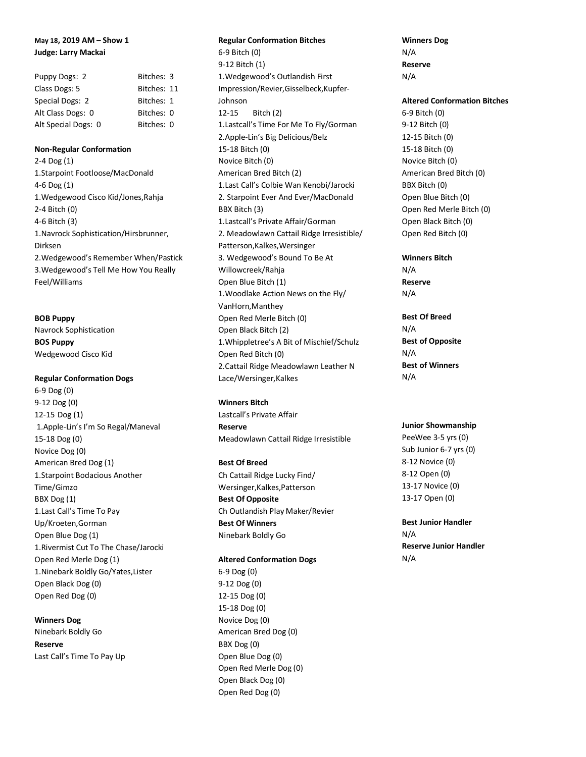# **May 18, 2019 AM – Show 1 Judge: Larry Mackai**

| Puppy Dogs: 2       | Bitches: 3  |  |
|---------------------|-------------|--|
| Class Dogs: 5       | Bitches: 11 |  |
| Special Dogs: 2     | Bitches: 1  |  |
| Alt Class Dogs: 0   | Bitches: 0  |  |
| Alt Special Dogs: 0 | Bitches: 0  |  |

#### **Non-Regular Conformation**

2-4 Dog (1) 1.Starpoint Footloose/MacDonald 4-6 Dog (1) 1.Wedgewood Cisco Kid/Jones,Rahja 2-4 Bitch (0) 4-6 Bitch (3) 1.Navrock Sophistication/Hirsbrunner, Dirksen 2.Wedgewood's Remember When/Pastick 3.Wedgewood's Tell Me How You Really Feel/Williams

**BOB Puppy** Navrock Sophistication **BOS Puppy** Wedgewood Cisco Kid

## **Regular Conformation Dogs**

6-9 Dog (0) 9-12 Dog (0) 12-15 Dog (1) 1.Apple-Lin's I'm So Regal/Maneval 15-18 Dog (0) Novice Dog (0) American Bred Dog (1) 1.Starpoint Bodacious Another Time/Gimzo BBX Dog (1) 1.Last Call's Time To Pay Up/Kroeten,Gorman Open Blue Dog (1) 1.Rivermist Cut To The Chase/Jarocki Open Red Merle Dog (1) 1.Ninebark Boldly Go/Yates,Lister Open Black Dog (0) Open Red Dog (0)

## **Winners Dog**

Ninebark Boldly Go **Reserve** Last Call's Time To Pay Up

# **Regular Conformation Bitches** 6-9 Bitch (0) 9-12 Bitch (1) 1.Wedgewood's Outlandish First Impression/Revier,Gisselbeck,Kupfer-Johnson 12-15 Bitch (2) 1.Lastcall's Time For Me To Fly/Gorman 2.Apple-Lin's Big Delicious/Belz 15-18 Bitch (0) Novice Bitch (0) American Bred Bitch (2) 1.Last Call's Colbie Wan Kenobi/Jarocki 2. Starpoint Ever And Ever/MacDonald BBX Bitch (3) 1.Lastcall's Private Affair/Gorman 2. Meadowlawn Cattail Ridge Irresistible/ Patterson,Kalkes,Wersinger 3. Wedgewood's Bound To Be At Willowcreek/Rahja Open Blue Bitch (1) 1.Woodlake Action News on the Fly/

VanHorn,Manthey Open Red Merle Bitch (0) Open Black Bitch (2) 1.Whippletree's A Bit of Mischief/Schulz Open Red Bitch (0) 2.Cattail Ridge Meadowlawn Leather N

#### **Winners Bitch**

Lace/Wersinger,Kalkes

Lastcall's Private Affair **Reserve** Meadowlawn Cattail Ridge Irresistible

## **Best Of Breed**

Ch Cattail Ridge Lucky Find/ Wersinger,Kalkes,Patterson **Best Of Opposite** Ch Outlandish Play Maker/Revier **Best Of Winners** Ninebark Boldly Go

#### **Altered Conformation Dogs**

6-9 Dog (0) 9-12 Dog (0) 12-15 Dog (0) 15-18 Dog (0) Novice Dog (0) American Bred Dog (0) BBX Dog (0) Open Blue Dog (0) Open Red Merle Dog (0) Open Black Dog (0) Open Red Dog (0)

**Winners Dog** N/A **Reserve** N/A

#### **Altered Conformation Bitches**

6-9 Bitch (0) 9-12 Bitch (0) 12-15 Bitch (0) 15-18 Bitch (0) Novice Bitch (0) American Bred Bitch (0) BBX Bitch (0) Open Blue Bitch (0) Open Red Merle Bitch (0) Open Black Bitch (0) Open Red Bitch (0)

**Winners Bitch** N/A **Reserve** N/A

**Best Of Breed** N/A **Best of Opposite** N/A **Best of Winners** N/A

## **Junior Showmanship**

PeeWee 3-5 yrs (0) Sub Junior 6-7 yrs (0) 8-12 Novice (0) 8-12 Open (0) 13-17 Novice (0) 13-17 Open (0)

**Best Junior Handler** N/A **Reserve Junior Handler** N/A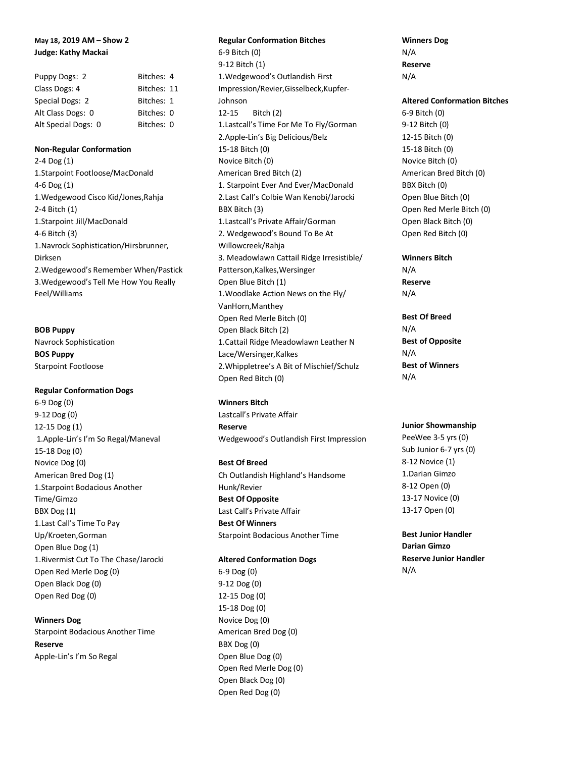# **May 18, 2019 AM – Show 2 Judge: Kathy Mackai**

| Puppy Dogs: 2       | Bitches: 4  |  |
|---------------------|-------------|--|
| Class Dogs: 4       | Bitches: 11 |  |
| Special Dogs: 2     | Bitches: 1  |  |
| Alt Class Dogs: 0   | Bitches: 0  |  |
| Alt Special Dogs: 0 | Bitches: 0  |  |

#### **Non-Regular Conformation**

2-4 Dog (1) 1.Starpoint Footloose/MacDonald 4-6 Dog (1) 1.Wedgewood Cisco Kid/Jones,Rahja 2-4 Bitch (1) 1.Starpoint Jill/MacDonald 4-6 Bitch (3) 1.Navrock Sophistication/Hirsbrunner, Dirksen 2.Wedgewood's Remember When/Pastick 3.Wedgewood's Tell Me How You Really Feel/Williams

## **BOB Puppy**

Navrock Sophistication **BOS Puppy** Starpoint Footloose

#### **Regular Conformation Dogs**

6-9 Dog (0) 9-12Dog (0) 12-15 Dog (1) 1.Apple-Lin's I'm So Regal/Maneval 15-18 Dog (0) Novice Dog (0) American Bred Dog (1) 1.Starpoint Bodacious Another Time/Gimzo BBX Dog (1) 1.Last Call's Time To Pay Up/Kroeten,Gorman Open Blue Dog (1) 1.Rivermist Cut To The Chase/Jarocki Open Red Merle Dog (0) Open Black Dog (0) Open Red Dog (0)

## **Winners Dog**

Starpoint Bodacious Another Time **Reserve** Apple-Lin's I'm So Regal

# **Regular Conformation Bitches** 6-9 Bitch (0) 9-12 Bitch (1) 1.Wedgewood's Outlandish First Impression/Revier,Gisselbeck,Kupfer-Johnson 12-15 Bitch (2) 1.Lastcall's Time For Me To Fly/Gorman 2.Apple-Lin's Big Delicious/Belz 15-18 Bitch (0) Novice Bitch (0) American Bred Bitch (2) 1. Starpoint Ever And Ever/MacDonald 2.Last Call's Colbie Wan Kenobi/Jarocki BBX Bitch (3) 1.Lastcall's Private Affair/Gorman 2. Wedgewood's Bound To Be At Willowcreek/Rahja 3. Meadowlawn Cattail Ridge Irresistible/ Patterson,Kalkes,Wersinger Open Blue Bitch (1) 1.Woodlake Action News on the Fly/ VanHorn,Manthey Open Red Merle Bitch (0) Open Black Bitch (2) 1.Cattail Ridge Meadowlawn Leather N Lace/Wersinger,Kalkes 2.Whippletree's A Bit of Mischief/Schulz Open Red Bitch (0)

**Winners Bitch** Lastcall's Private Affair **Reserve**

Wedgewood's Outlandish First Impression

## **Best Of Breed**

Ch Outlandish Highland's Handsome Hunk/Revier **Best Of Opposite** Last Call's Private Affair **Best Of Winners** Starpoint Bodacious Another Time

## **Altered Conformation Dogs**

6-9 Dog (0) 9-12 Dog (0) 12-15 Dog (0) 15-18 Dog (0) Novice Dog (0) American Bred Dog (0) BBX Dog (0) Open Blue Dog (0) Open Red Merle Dog (0) Open Black Dog (0) Open Red Dog (0)

**Winners Dog** N/A **Reserve** N/A

## **Altered Conformation Bitches**

6-9 Bitch (0) 9-12 Bitch (0) 12-15 Bitch (0) 15-18 Bitch (0) Novice Bitch (0) American Bred Bitch (0) BBX Bitch (0) Open Blue Bitch (0) Open Red Merle Bitch (0) Open Black Bitch (0) Open Red Bitch (0)

**Winners Bitch** N/A **Reserve**

N/A

**Best Of Breed** N/A **Best of Opposite** N/A **Best of Winners** N/A

## **Junior Showmanship**

PeeWee 3-5 yrs (0) Sub Junior 6-7 yrs (0) 8-12 Novice (1) 1.Darian Gimzo 8-12 Open (0) 13-17 Novice (0) 13-17 Open (0)

**Best Junior Handler Darian Gimzo Reserve Junior Handler** N/A